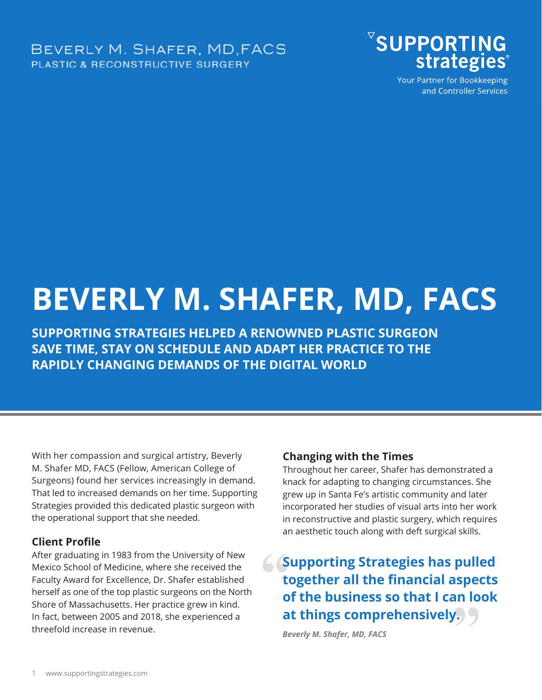BEVERLY M. SHAFER, MD, FACS **PLASTIC & RECONSTRUCTIVE SURGERY** 



Your Partner for Bookkeeping and Controller Services

# **BEVERLY M. SHAFER, MD, FACS**

**SUPPORTING STRATEGIES HELPED A RENOWNED PLASTIC SURGEON SAVE TIME, STAY ON SCHEDULE AND ADAPT HER PRACTICE TO THE RAPIDLY CHANGING DEMANDS OF THE DIGITAL WORLD**

With her compassion and surgical artistry, Beverly M. Shafer MD, FACS (Fellow, American College of Surgeons) found her services increasingly in demand. That led to increased demands on her time. Supporting Strategies provided this dedicated plastic surgeon with the operational support that she needed.

#### **Client Profile**

After graduating in 1983 from the University of New Mexico School of Medicine, where she received the Faculty Award for Excellence, Dr. Shafer established herself as one of the top plastic surgeons on the North Shore of Massachusetts. Her practice grew in kind. In fact, between 2005 and 2018, she experienced a threefold increase in revenue.

#### **Changing with the Times**

Throughout her career, Shafer has demonstrated a knack for adapting to changing circumstances. She grew up in Santa Fe's artistic community and later incorporated her studies of visual arts into her work in reconstructive and plastic surgery, which requires an aesthetic touch along with deft surgical skills.

**Supporting Strategies has pulled together all the financial aspects of the business so that I can look at things comprehensively.**

*Beverly M. Shafer, MD, FACS*